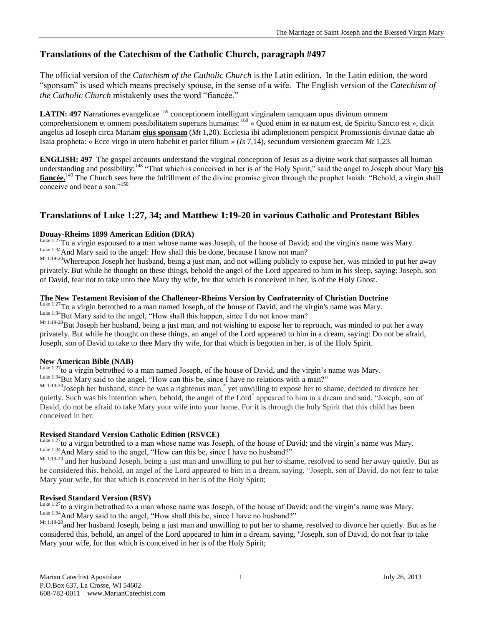# **Translations of the Catechism of the Catholic Church, paragraph #497**

The official version of the *Catechism of the Catholic Church* is the Latin edition. In the Latin edition, the word "sponsam" is used which means precisely spouse, in the sense of a wife. The English version of the *Catechism of the Catholic Church* mistakenly uses the word "fiancée."

**LATIN: 497** Narrationes evangelicae <sup>159</sup> conceptionem intelligunt virginalem tamquam opus divinum omnem comprehensionem et omnem possibilitatem superans humanas: <sup>160</sup> « Quod enim in ea natum est, de Spiritu Sancto est », dicit angelus ad Ioseph circa Mariam **eius sponsam** (*Mt* 1,20). Ecclesia ibi adimpletionem perspicit Promissionis divinae datae ab Isaia propheta: « Ecce virgo in utero habebit et pariet filium » (*Is* 7,14), secundum versionem graecam *Mt* 1,23.

**ENGLISH: 497** The gospel accounts understand the virginal conception of Jesus as a divine work that surpasses all human understanding and possibility:<sup>148</sup> "That which is conceived in her is of the Holy Spirit," said the angel to Joseph about Mary **his fiancée.**<sup>149</sup> The Church sees here the fulfillment of the divine promise given through the prophet Isaiah: "Behold, a virgin shall conceive and bear a son."<sup>150</sup>

# **Translations of Luke 1:27, 34; and Matthew 1:19-20 in various Catholic and Protestant Bibles**

# **Douay-Rheims 1899 American Edition (DRA)**

To a virgin espoused to a man whose name was Joseph, of the house of David; and the virgin's name was Mary. Luke 1:34 And Mary said to the angel: How shall this be done, because I know not man?

Mt 1:19-20Whereupon Joseph her husband, being a just man, and not willing publicly to expose her, was minded to put her away privately. But while he thought on these things, behold the angel of the Lord appeared to him in his sleep, saying: Joseph, son of David, fear not to take unto thee Mary thy wife, for that which is conceived in her, is of the Holy Ghost.

# **The New Testament Revision of the Challeneor-Rheims Version by Confraternity of Christian Doctrine**

Luke 1:27 To a virgin betrothed to a man named Joseph, of the house of David, and the virgin's name was Mary. Luke 1:34 But Mary said to the angel, "How shall this happen, since I do not know man?

Mt 1:19-20 But Joseph her husband, being a just man, and not wishing to expose her to reproach, was minded to put her away privately. But while he thought on these things, an angel of the Lord appeared to him in a dream, saying: Do not be afraid, Joseph, son of David to take to thee Mary thy wife, for that which is begotten in her, is of the Holy Spirit.

# **New American Bible (NAB)**

<sup>Luke 1:27</sup>to a virgin betrothed to a man named Joseph, of the house of David, and the virgin's name was Mary.

Luke 1:34 But Mary said to the angel, "How can this be, since I have no relations with a man?"

Mt 1:19-20Joseph her husband, since he was a righteous man,**\*** yet unwilling to expose her to shame, decided to divorce her quietly. Such was his intention when, behold, the angel of the Lord**\*** appeared to him in a dream and said, "Joseph, son of David, do not be afraid to take Mary your wife into your home. For it is through the holy Spirit that this child has been conceived in her.

# **Revised Standard Version Catholic Edition (RSVCE)**

Luke 1:27to a virgin betrothed to a man whose name was Joseph, of the house of David; and the virgin's name was Mary. Luke 1:34 And Mary said to the angel, "How can this be, since I have no husband?"

Mt 1:19-20 and her husband Joseph, being a just man and unwilling to put her to shame, resolved to send her away quietly. But as he considered this, behold, an angel of the Lord appeared to him in a dream, saying, "Joseph, son of David, do not fear to take Mary your wife, for that which is conceived in her is of the Holy Spirit;

# **Revised Standard Version (RSV)**

<sup>Luke 1:27</sup>to a virgin betrothed to a man whose name was Joseph, of the house of David; and the virgin's name was Mary. Luke 1:34 And Mary said to the angel, "How shall this be, since I have no husband?"

Mt 1:19-20 and her husband Joseph, being a just man and unwilling to put her to shame, resolved to divorce her quietly. But as he considered this, behold, an angel of the Lord appeared to him in a dream, saying, "Joseph, son of David, do not fear to take Mary your wife, for that which is conceived in her is of the Holy Spirit;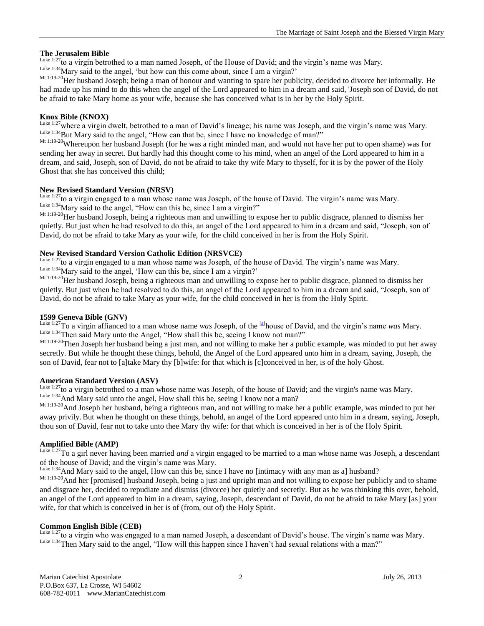# **The Jerusalem Bible**

Luke 1:27to a virgin betrothed to a man named Joseph, of the House of David; and the virgin's name was Mary. Luke 1:34 Mary said to the angel, 'but how can this come about, since I am a virgin?'

Mt 1:19-20 Her husband Joseph; being a man of honour and wanting to spare her publicity, decided to divorce her informally. He had made up his mind to do this when the angel of the Lord appeared to him in a dream and said, 'Joseph son of David, do not be afraid to take Mary home as your wife, because she has conceived what is in her by the Holy Spirit.

## **Knox Bible (KNOX)**

Luke 1:27 where a virgin dwelt, betrothed to a man of David's lineage; his name was Joseph, and the virgin's name was Mary. Luke 1:34 But Mary said to the angel, "How can that be, since I have no knowledge of man?"

Mt 1:19-20Whereupon her husband Joseph (for he was a right minded man, and would not have her put to open shame) was for sending her away in secret. But hardly had this thought come to his mind, when an angel of the Lord appeared to him in a dream, and said, Joseph, son of David, do not be afraid to take thy wife Mary to thyself, for it is by the power of the Holy Ghost that she has conceived this child;

#### **New Revised Standard Version (NRSV)**

Luke 1:27to a virgin engaged to a man whose name was Joseph, of the house of David. The virgin's name was Mary. Luke 1:34 Mary said to the angel, "How can this be, since I am a virgin?"

Mt 1:19-20 Her husband Joseph, being a righteous man and unwilling to expose her to public disgrace, planned to dismiss her quietly. But just when he had resolved to do this, an angel of the Lord appeared to him in a dream and said, "Joseph, son of David, do not be afraid to take Mary as your wife, for the child conceived in her is from the Holy Spirit.

## **New Revised Standard Version Catholic Edition (NRSVCE)**

<sup>Luke 1:27</sup>to a virgin engaged to a man whose name was Joseph, of the house of David. The virgin's name was Mary. Luke 1:34 Mary said to the angel, 'How can this be, since I am a virgin?'

Mt 1:19-20Her husband Joseph, being a righteous man and unwilling to expose her to public disgrace, planned to dismiss her quietly. But just when he had resolved to do this, an angel of the Lord appeared to him in a dream and said, "Joseph, son of David, do not be afraid to take Mary as your wife, for the child conceived in her is from the Holy Spirit.

### **1599 Geneva Bible (GNV)**

Luke 1:27To a virgin affianced to a man whose name *was* Joseph, of the [\[a\]](http://www.biblegateway.com/passage/?search=Luke%201:27&version=GNV#fen-GNV-24914a#fen-GNV-24914a) house of David, and the virgin's name *was* Mary. Luke 1:34Then said Mary unto the Angel, "How shall this be, seeing I know not man?"

Mt 1:19-20 Then Joseph her husband being a just man, and not willing to make her a public example, was minded to put her away secretly. But while he thought these things, behold, the Angel of the Lord appeared unto him in a dream, saying, Joseph, the son of David, fear not to [a]take Mary thy [b]wife: for that which is [c]conceived in her, is of the holy Ghost.

#### **American Standard Version (ASV)**

Luke 1:27to a virgin betrothed to a man whose name was Joseph, of the house of David; and the virgin's name was Mary. Luke 1:34 And Mary said unto the angel, How shall this be, seeing I know not a man?

Mt 1:19-20<br>And Joseph her husband, being a righteous man, and not willing to make her a public example, was minded to put her away privily. But when he thought on these things, behold, an angel of the Lord appeared unto him in a dream, saying, Joseph, thou son of David, fear not to take unto thee Mary thy wife: for that which is conceived in her is of the Holy Spirit.

# **Amplified Bible (AMP)**

Luke 1:27To a girl never having been married *and* a virgin engaged to be married to a man whose name was Joseph, a descendant of the house of David; and the virgin's name was Mary.

 $L_{\text{like}}$  1:34 And Mary said to the angel, How can this be, since I have no [intimacy with any man as a] husband?

Mt 1:19-20 And her [promised] husband Joseph, being a just and upright man and not willing to expose her publicly and to shame and disgrace her, decided to repudiate and dismiss (divorce) her quietly and secretly. But as he was thinking this over, behold, an angel of the Lord appeared to him in a dream, saying, Joseph, descendant of David, do not be afraid to take Mary [as] your wife, for that which is conceived in her is of (from, out of) the Holy Spirit.

#### **Common English Bible (CEB)**

Luke 1:27to a virgin who was engaged to a man named Joseph, a descendant of David's house. The virgin's name was Mary. Luke 1:34 Then Mary said to the angel, "How will this happen since I haven't had sexual relations with a man?"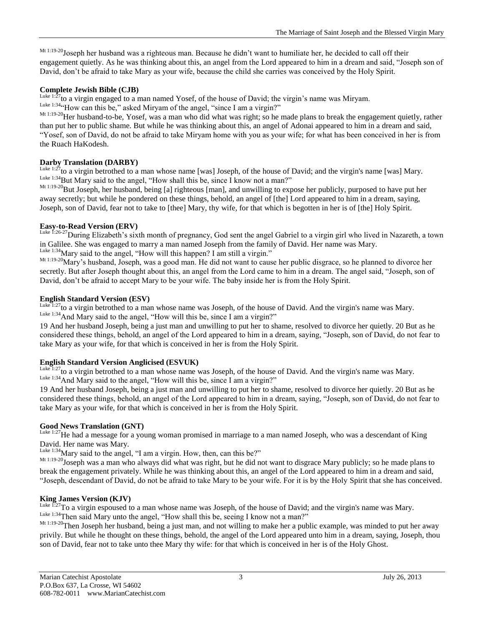Mt 1:19-20 Joseph her husband was a righteous man. Because he didn't want to humiliate her, he decided to call off their engagement quietly. As he was thinking about this, an angel from the Lord appeared to him in a dream and said, "Joseph son of David, don't be afraid to take Mary as your wife, because the child she carries was conceived by the Holy Spirit.

# **Complete Jewish Bible (CJB)**

Luke 1: $27$  to a virgin engaged to a man named Yosef, of the house of David; the virgin's name was Miryam. Luke 1:34<sup>c</sup>How can this be," asked Miryam of the angel, "since I am a virgin?"

Mt 1:19-20 Her husband-to-be, Yosef, was a man who did what was right; so he made plans to break the engagement quietly, rather than put her to public shame. But while he was thinking about this, an angel of Adonai appeared to him in a dream and said, "Yosef, son of David, do not be afraid to take Miryam home with you as your wife; for what has been conceived in her is from the Ruach HaKodesh.

# **Darby Translation (DARBY)**

Luke 1:27<sub>to a virgin betrothed to a man whose name [was] Joseph, of the house of David; and the virgin's name [was] Mary.</sub> Luke 1:34 But Mary said to the angel, "How shall this be, since I know not a man?"

Mt 1:19-20 But Joseph, her husband, being [a] righteous [man], and unwilling to expose her publicly, purposed to have put her away secretly; but while he pondered on these things, behold, an angel of [the] Lord appeared to him in a dream, saying, Joseph, son of David, fear not to take to [thee] Mary, thy wife, for that which is begotten in her is of [the] Holy Spirit.

#### **Easy-to-Read Version (ERV)**

Luke 1:26-27 During Elizabeth's sixth month of pregnancy, God sent the angel Gabriel to a virgin girl who lived in Nazareth, a town in Galilee. She was engaged to marry a man named Joseph from the family of David. Her name was Mary. Luke 1:34 Mary said to the angel, "How will this happen? I am still a virgin."

Mt 1:19-20 Mary's husband, Joseph, was a good man. He did not want to cause her public disgrace, so he planned to divorce her secretly. But after Joseph thought about this, an angel from the Lord came to him in a dream. The angel said, "Joseph, son of David, don't be afraid to accept Mary to be your wife. The baby inside her is from the Holy Spirit.

## **English Standard Version (ESV)**

 $L_{\text{uke }1.27}$  to a virgin betrothed to a man whose name was Joseph, of the house of David. And the virgin's name was Mary. Luke 1:34 And Mary said to the angel, "How will this be, since I am a virgin?"

19 And her husband Joseph, being a just man and unwilling to put her to shame, resolved to divorce her quietly. 20 But as he considered these things, behold, an angel of the Lord appeared to him in a dream, saying, "Joseph, son of David, do not fear to take Mary as your wife, for that which is conceived in her is from the Holy Spirit.

# **English Standard Version Anglicised (ESVUK)**

Luke 1:27to a virgin betrothed to a man whose name was Joseph, of the house of David. And the virgin's name was Mary. Luke 1:34 And Mary said to the angel, "How will this be, since I am a virgin?"

19 And her husband Joseph, being a just man and unwilling to put her to shame, resolved to divorce her quietly. 20 But as he considered these things, behold, an angel of the Lord appeared to him in a dream, saying, "Joseph, son of David, do not fear to take Mary as your wife, for that which is conceived in her is from the Holy Spirit.

# **Good News Translation (GNT)**

Luke 1:27He had a message for a young woman promised in marriage to a man named Joseph, who was a descendant of King David. Her name was Mary.

Luke 1:34 Mary said to the angel, "I am a virgin. How, then, can this be?"

Mt 1:19-20 Joseph was a man who always did what was right, but he did not want to disgrace Mary publicly; so he made plans to break the engagement privately. While he was thinking about this, an angel of the Lord appeared to him in a dream and said, "Joseph, descendant of David, do not be afraid to take Mary to be your wife. For it is by the Holy Spirit that she has conceived.

#### **King James Version (KJV)**

Luke 1:27To a virgin espoused to a man whose name was Joseph, of the house of David; and the virgin's name was Mary. Luke 1:34Then said Mary unto the angel, "How shall this be, seeing I know not a man?"

Mt 1:19-20 Then Joseph her husband, being a just man, and not willing to make her a public example, was minded to put her away privily. But while he thought on these things, behold, the angel of the Lord appeared unto him in a dream, saying, Joseph, thou son of David, fear not to take unto thee Mary thy wife: for that which is conceived in her is of the Holy Ghost.